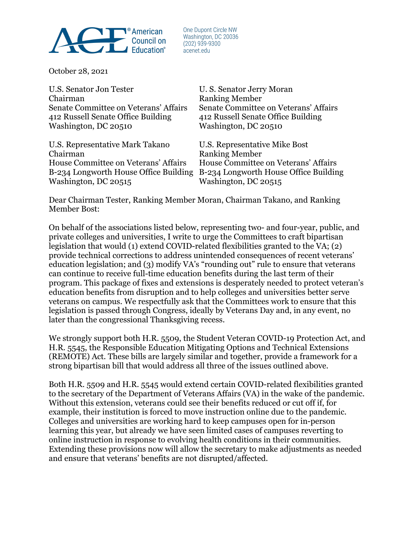

One Dupont Circle NW Washington, DC 20036  $(202)$  939-9300 acenet.edu

October 28, 2021

U.S. Senator Jon Tester U.S. Senator Jerry Moran Chairman Ranking Member Senate Committee on Veterans' Affairs Senate Committee on Veterans' Affairs 412 Russell Senate Office Building 412 Russell Senate Office Building Washington, DC 20510 Washington, DC 20510

U.S. Representative Mark Takano U.S. Representative Mike Bost Chairman Ranking Member House Committee on Veterans' Affairs House Committee on Veterans' Affairs Washington, DC 20515 Washington, DC 20515

B-234 Longworth House Office Building B-234 Longworth House Office Building

Dear Chairman Tester, Ranking Member Moran, Chairman Takano, and Ranking Member Bost:

On behalf of the associations listed below, representing two- and four-year, public, and private colleges and universities, I write to urge the Committees to craft bipartisan legislation that would (1) extend COVID-related flexibilities granted to the VA; (2) provide technical corrections to address unintended consequences of recent veterans' education legislation; and (3) modify VA's "rounding out" rule to ensure that veterans can continue to receive full-time education benefits during the last term of their program. This package of fixes and extensions is desperately needed to protect veteran's education benefits from disruption and to help colleges and universities better serve veterans on campus. We respectfully ask that the Committees work to ensure that this legislation is passed through Congress, ideally by Veterans Day and, in any event, no later than the congressional Thanksgiving recess.

We strongly support both H.R. 5509, the Student Veteran COVID-19 Protection Act, and H.R. 5545, the Responsible Education Mitigating Options and Technical Extensions (REMOTE) Act. These bills are largely similar and together, provide a framework for a strong bipartisan bill that would address all three of the issues outlined above.

Both H.R. 5509 and H.R. 5545 would extend certain COVID-related flexibilities granted to the secretary of the Department of Veterans Affairs (VA) in the wake of the pandemic. Without this extension, veterans could see their benefits reduced or cut off if, for example, their institution is forced to move instruction online due to the pandemic. Colleges and universities are working hard to keep campuses open for in-person learning this year, but already we have seen limited cases of campuses reverting to online instruction in response to evolving health conditions in their communities. Extending these provisions now will allow the secretary to make adjustments as needed and ensure that veterans' benefits are not disrupted/affected.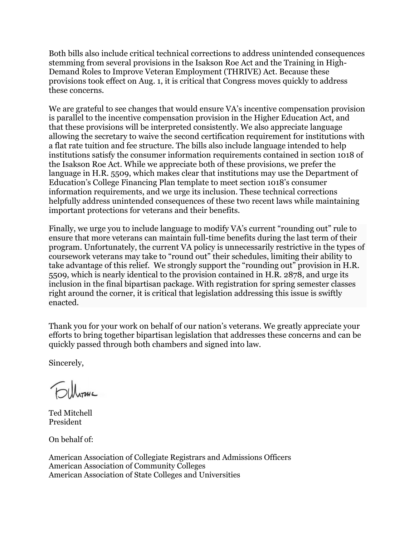Both bills also include critical technical corrections to address unintended consequences stemming from several provisions in the Isakson Roe Act and the Training in High-Demand Roles to Improve Veteran Employment (THRIVE) Act. Because these provisions took effect on Aug. 1, it is critical that Congress moves quickly to address these concerns.

We are grateful to see changes that would ensure VA's incentive compensation provision is parallel to the incentive compensation provision in the Higher Education Act, and that these provisions will be interpreted consistently. We also appreciate language allowing the secretary to waive the second certification requirement for institutions with a flat rate tuition and fee structure. The bills also include language intended to help institutions satisfy the consumer information requirements contained in section 1018 of the Isakson Roe Act. While we appreciate both of these provisions, we prefer the language in H.R. 5509, which makes clear that institutions may use the Department of Education's College Financing Plan template to meet section 1018's consumer information requirements, and we urge its inclusion. These technical corrections helpfully address unintended consequences of these two recent laws while maintaining important protections for veterans and their benefits.

Finally, we urge you to include language to modify VA's current "rounding out" rule to ensure that more veterans can maintain full-time benefits during the last term of their program. Unfortunately, the current VA policy is unnecessarily restrictive in the types of coursework veterans may take to "round out" their schedules, limiting their ability to take advantage of this relief. We strongly support the "rounding out" provision in H.R. 5509, which is nearly identical to the provision contained in H.R. 2878, and urge its inclusion in the final bipartisan package. With registration for spring semester classes right around the corner, it is critical that legislation addressing this issue is swiftly enacted.

Thank you for your work on behalf of our nation's veterans. We greatly appreciate your efforts to bring together bipartisan legislation that addresses these concerns and can be quickly passed through both chambers and signed into law.

Sincerely,

**Folloma** 

Ted Mitchell President

On behalf of:

American Association of Collegiate Registrars and Admissions Officers American Association of Community Colleges American Association of State Colleges and Universities